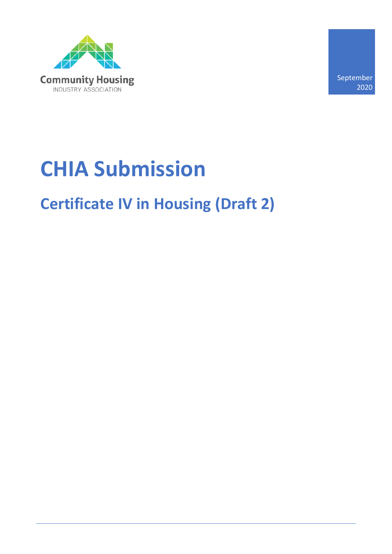

September 2020

# **CHIA Submission**

## **Certificate IV in Housing (Draft 2)**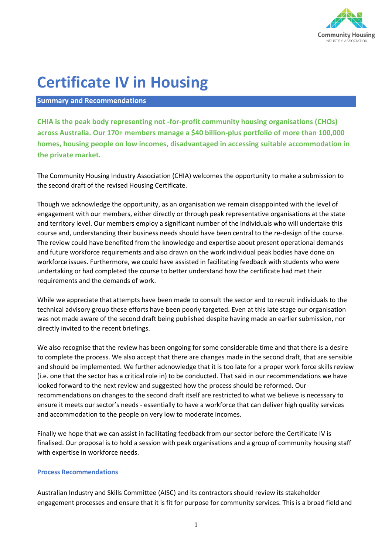

### **Certificate IV in Housing**

#### **Summary and Recommendations**

**CHIA is the peak body representing not -for-profit community housing organisations (CHOs) across Australia. Our 170+ members manage a \$40 billion-plus portfolio of more than 100,000 homes, housing people on low incomes, disadvantaged in accessing suitable accommodation in the private market.** 

The Community Housing Industry Association (CHIA) welcomes the opportunity to make a submission to the second draft of the revised Housing Certificate.

Though we acknowledge the opportunity, as an organisation we remain disappointed with the level of engagement with our members, either directly or through peak representative organisations at the state and territory level. Our members employ a significant number of the individuals who will undertake this course and, understanding their business needs should have been central to the re-design of the course. The review could have benefited from the knowledge and expertise about present operational demands and future workforce requirements and also drawn on the work individual peak bodies have done on workforce issues. Furthermore, we could have assisted in facilitating feedback with students who were undertaking or had completed the course to better understand how the certificate had met their requirements and the demands of work.

While we appreciate that attempts have been made to consult the sector and to recruit individuals to the technical advisory group these efforts have been poorly targeted. Even at this late stage our organisation was not made aware of the second draft being published despite having made an earlier submission, nor directly invited to the recent briefings.

We also recognise that the review has been ongoing for some considerable time and that there is a desire to complete the process. We also accept that there are changes made in the second draft, that are sensible and should be implemented. We further acknowledge that it is too late for a proper work force skills review (i.e. one that the sector has a critical role in) to be conducted. That said in our recommendations we have looked forward to the next review and suggested how the process should be reformed. Our recommendations on changes to the second draft itself are restricted to what we believe is necessary to ensure it meets our sector's needs - essentially to have a workforce that can deliver high quality services and accommodation to the people on very low to moderate incomes.

Finally we hope that we can assist in facilitating feedback from our sector before the Certificate IV is finalised. Our proposal is to hold a session with peak organisations and a group of community housing staff with expertise in workforce needs.

#### **Process Recommendations**

Australian Industry and Skills Committee (AISC) and its contractors should review its stakeholder engagement processes and ensure that it is fit for purpose for community services. This is a broad field and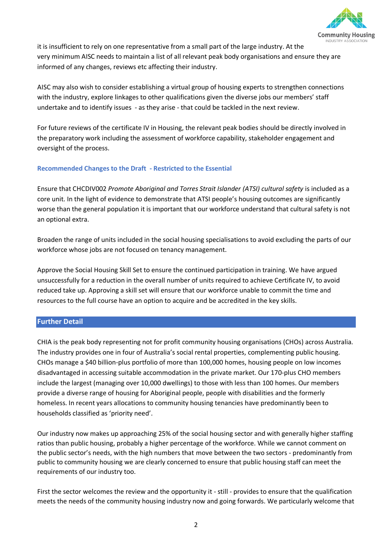

it is insufficient to rely on one representative from a small part of the large industry. At the very minimum AISC needs to maintain a list of all relevant peak body organisations and ensure they are informed of any changes, reviews etc affecting their industry.

AISC may also wish to consider establishing a virtual group of housing experts to strengthen connections with the industry, explore linkages to other qualifications given the diverse jobs our members' staff undertake and to identify issues - as they arise - that could be tackled in the next review.

For future reviews of the certificate IV in Housing, the relevant peak bodies should be directly involved in the preparatory work including the assessment of workforce capability, stakeholder engagement and oversight of the process.

#### **Recommended Changes to the Draft - Restricted to the Essential**

Ensure that CHCDIV002 *Promote Aboriginal and Torres Strait Islander (ATSI) cultural safety* is included as a core unit. In the light of evidence to demonstrate that ATSI people's housing outcomes are significantly worse than the general population it is important that our workforce understand that cultural safety is not an optional extra.

Broaden the range of units included in the social housing specialisations to avoid excluding the parts of our workforce whose jobs are not focused on tenancy management.

Approve the Social Housing Skill Set to ensure the continued participation in training. We have argued unsuccessfully for a reduction in the overall number of units required to achieve Certificate IV, to avoid reduced take up. Approving a skill set will ensure that our workforce unable to commit the time and resources to the full course have an option to acquire and be accredited in the key skills.

#### **Further Detail**

CHIA is the peak body representing not for profit community housing organisations (CHOs) across Australia. The industry provides one in four of Australia's social rental properties, complementing public housing. CHOs manage a \$40 billion-plus portfolio of more than 100,000 homes, housing people on low incomes disadvantaged in accessing suitable accommodation in the private market. Our 170-plus CHO members include the largest (managing over 10,000 dwellings) to those with less than 100 homes. Our members provide a diverse range of housing for Aboriginal people, people with disabilities and the formerly homeless. In recent years allocations to community housing tenancies have predominantly been to households classified as 'priority need'.

Our industry now makes up approaching 25% of the social housing sector and with generally higher staffing ratios than public housing, probably a higher percentage of the workforce. While we cannot comment on the public sector's needs, with the high numbers that move between the two sectors - predominantly from public to community housing we are clearly concerned to ensure that public housing staff can meet the requirements of our industry too.

First the sector welcomes the review and the opportunity it - still - provides to ensure that the qualification meets the needs of the community housing industry now and going forwards. We particularly welcome that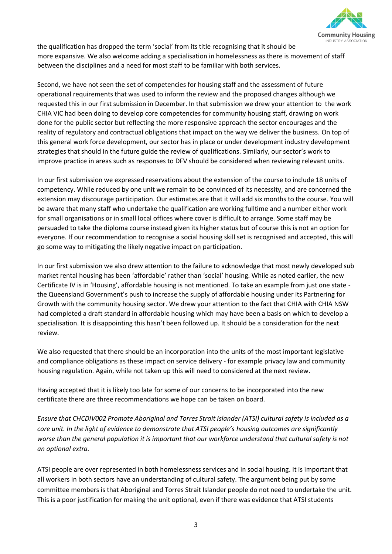

the qualification has dropped the term 'social' from its title recognising that it should be more expansive. We also welcome adding a specialisation in homelessness as there is movement of staff between the disciplines and a need for most staff to be familiar with both services.

Second, we have not seen the set of competencies for housing staff and the assessment of future operational requirements that was used to inform the review and the proposed changes although we requested this in our first submission in December. In that submission we drew your attention to the work CHIA VIC had been doing to develop core competencies for community housing staff, drawing on work done for the public sector but reflecting the more responsive approach the sector encourages and the reality of regulatory and contractual obligations that impact on the way we deliver the business. On top of this general work force development, our sector has in place or under development industry development strategies that should in the future guide the review of qualifications. Similarly, our sector's work to improve practice in areas such as responses to DFV should be considered when reviewing relevant units.

In our first submission we expressed reservations about the extension of the course to include 18 units of competency. While reduced by one unit we remain to be convinced of its necessity, and are concerned the extension may discourage participation. Our estimates are that it will add six months to the course. You will be aware that many staff who undertake the qualification are working fulltime and a number either work for small organisations or in small local offices where cover is difficult to arrange. Some staff may be persuaded to take the diploma course instead given its higher status but of course this is not an option for everyone. If our recommendation to recognise a social housing skill set is recognised and accepted, this will go some way to mitigating the likely negative impact on participation.

In our first submission we also drew attention to the failure to acknowledge that most newly developed sub market rental housing has been 'affordable' rather than 'social' housing. While as noted earlier, the new Certificate IV is in 'Housing', affordable housing is not mentioned. To take an example from just one state the Queensland Government's push to increase the supply of affordable housing under its Partnering for Growth with the community housing sector. We drew your attention to the fact that CHIA with CHIA NSW had completed a draft standard in affordable housing which may have been a basis on which to develop a specialisation. It is disappointing this hasn't been followed up. It should be a consideration for the next review.

We also requested that there should be an incorporation into the units of the most important legislative and compliance obligations as these impact on service delivery - for example privacy law and community housing regulation. Again, while not taken up this will need to considered at the next review.

Having accepted that it is likely too late for some of our concerns to be incorporated into the new certificate there are three recommendations we hope can be taken on board.

*Ensure that CHCDIV002 Promote Aboriginal and Torres Strait Islander (ATSI) cultural safety is included as a core unit. In the light of evidence to demonstrate that ATSI people's housing outcomes are significantly worse than the general population it is important that our workforce understand that cultural safety is not an optional extra.*

ATSI people are over represented in both homelessness services and in social housing. It is important that all workers in both sectors have an understanding of cultural safety. The argument being put by some committee members is that Aboriginal and Torres Strait Islander people do not need to undertake the unit. This is a poor justification for making the unit optional, even if there was evidence that ATSI students